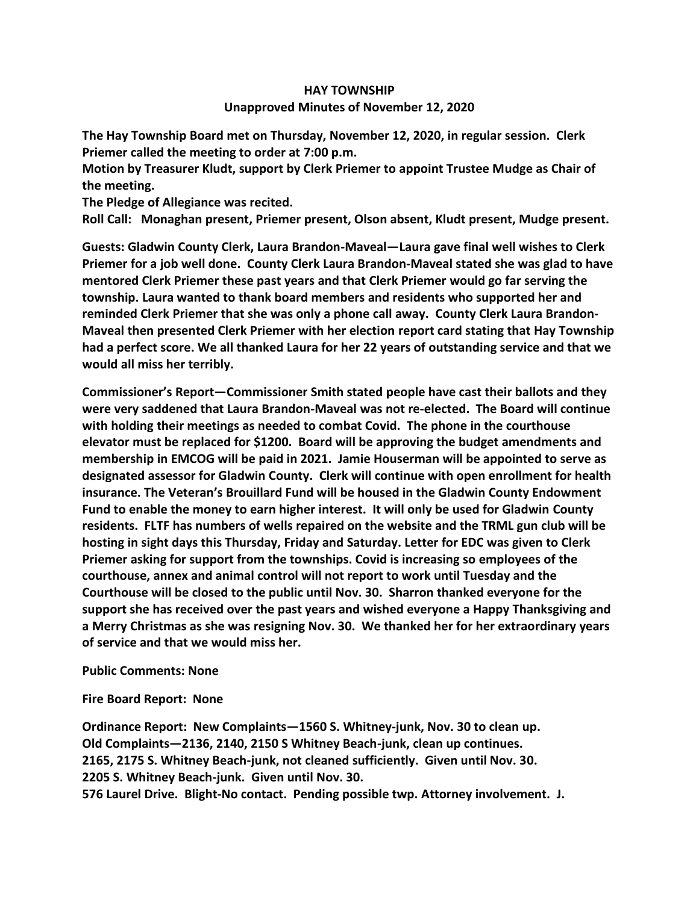### **HAY TOWNSHIP**

#### **Unapproved Minutes of November 12, 2020**

**The Hay Township Board met on Thursday, November 12, 2020, in regular session. Clerk Priemer called the meeting to order at 7:00 p.m.** 

**Motion by Treasurer Kludt, support by Clerk Priemer to appoint Trustee Mudge as Chair of the meeting.**

**The Pledge of Allegiance was recited.** 

**Roll Call: Monaghan present, Priemer present, Olson absent, Kludt present, Mudge present.**

**Guests: Gladwin County Clerk, Laura Brandon-Maveal—Laura gave final well wishes to Clerk Priemer for a job well done. County Clerk Laura Brandon-Maveal stated she was glad to have mentored Clerk Priemer these past years and that Clerk Priemer would go far serving the township. Laura wanted to thank board members and residents who supported her and reminded Clerk Priemer that she was only a phone call away. County Clerk Laura Brandon-Maveal then presented Clerk Priemer with her election report card stating that Hay Township had a perfect score. We all thanked Laura for her 22 years of outstanding service and that we would all miss her terribly.**

**Commissioner's Report—Commissioner Smith stated people have cast their ballots and they were very saddened that Laura Brandon-Maveal was not re-elected. The Board will continue with holding their meetings as needed to combat Covid. The phone in the courthouse elevator must be replaced for \$1200. Board will be approving the budget amendments and membership in EMCOG will be paid in 2021. Jamie Houserman will be appointed to serve as designated assessor for Gladwin County. Clerk will continue with open enrollment for health insurance. The Veteran's Brouillard Fund will be housed in the Gladwin County Endowment Fund to enable the money to earn higher interest. It will only be used for Gladwin County residents. FLTF has numbers of wells repaired on the website and the TRML gun club will be hosting in sight days this Thursday, Friday and Saturday. Letter for EDC was given to Clerk Priemer asking for support from the townships. Covid is increasing so employees of the courthouse, annex and animal control will not report to work until Tuesday and the Courthouse will be closed to the public until Nov. 30. Sharron thanked everyone for the support she has received over the past years and wished everyone a Happy Thanksgiving and a Merry Christmas as she was resigning Nov. 30. We thanked her for her extraordinary years of service and that we would miss her.**

**Public Comments: None**

**Fire Board Report: None**

**Ordinance Report: New Complaints—1560 S. Whitney-junk, Nov. 30 to clean up. Old Complaints—2136, 2140, 2150 S Whitney Beach-junk, clean up continues. 2165, 2175 S. Whitney Beach-junk, not cleaned sufficiently. Given until Nov. 30. 2205 S. Whitney Beach-junk. Given until Nov. 30. 576 Laurel Drive. Blight-No contact. Pending possible twp. Attorney involvement. J.**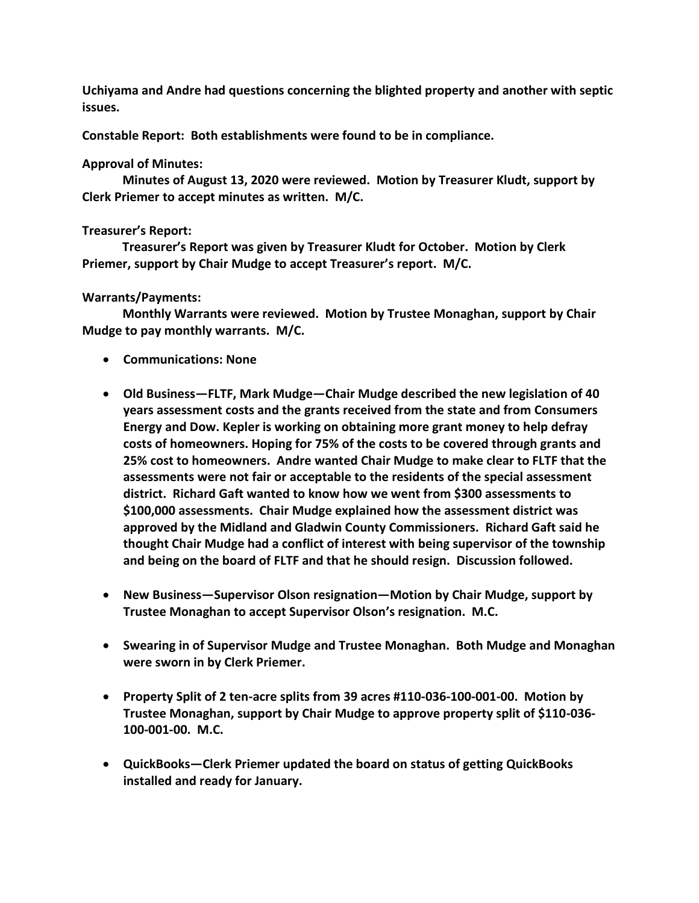**Uchiyama and Andre had questions concerning the blighted property and another with septic issues.**

**Constable Report: Both establishments were found to be in compliance.**

# **Approval of Minutes:**

 **Minutes of August 13, 2020 were reviewed. Motion by Treasurer Kludt, support by Clerk Priemer to accept minutes as written. M/C.**

## **Treasurer's Report:**

 **Treasurer's Report was given by Treasurer Kludt for October. Motion by Clerk Priemer, support by Chair Mudge to accept Treasurer's report. M/C.**

## **Warrants/Payments:**

 **Monthly Warrants were reviewed. Motion by Trustee Monaghan, support by Chair Mudge to pay monthly warrants. M/C.**

- **Communications: None**
- **Old Business—FLTF, Mark Mudge—Chair Mudge described the new legislation of 40 years assessment costs and the grants received from the state and from Consumers Energy and Dow. Kepler is working on obtaining more grant money to help defray costs of homeowners. Hoping for 75% of the costs to be covered through grants and 25% cost to homeowners. Andre wanted Chair Mudge to make clear to FLTF that the assessments were not fair or acceptable to the residents of the special assessment district. Richard Gaft wanted to know how we went from \$300 assessments to \$100,000 assessments. Chair Mudge explained how the assessment district was approved by the Midland and Gladwin County Commissioners. Richard Gaft said he thought Chair Mudge had a conflict of interest with being supervisor of the township and being on the board of FLTF and that he should resign. Discussion followed.**
- **New Business—Supervisor Olson resignation—Motion by Chair Mudge, support by Trustee Monaghan to accept Supervisor Olson's resignation. M.C.**
- **Swearing in of Supervisor Mudge and Trustee Monaghan. Both Mudge and Monaghan were sworn in by Clerk Priemer.**
- **Property Split of 2 ten-acre splits from 39 acres #110-036-100-001-00. Motion by Trustee Monaghan, support by Chair Mudge to approve property split of \$110-036- 100-001-00. M.C.**
- **QuickBooks—Clerk Priemer updated the board on status of getting QuickBooks installed and ready for January.**